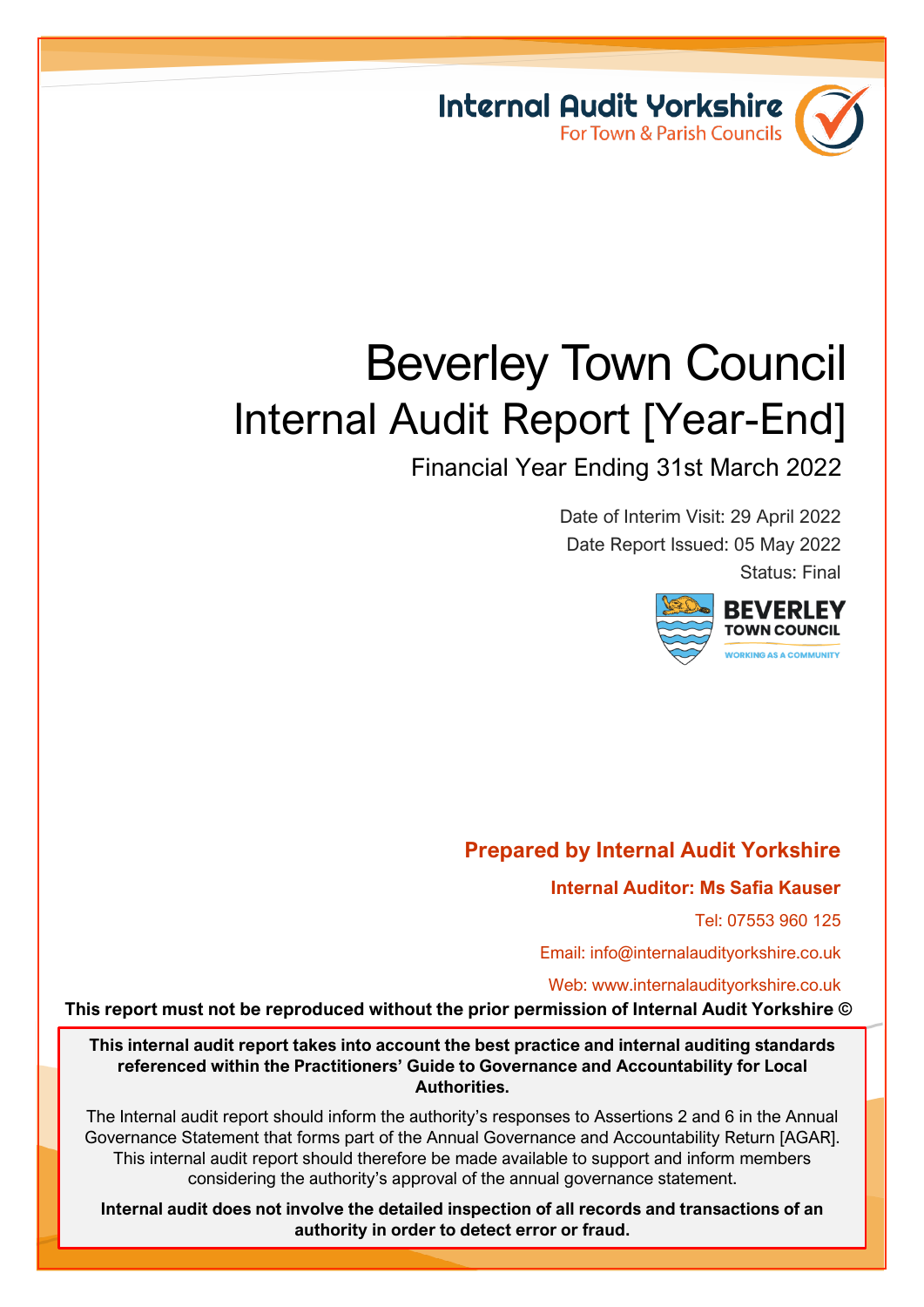

# Beverley Town Council Internal Audit Report [Year-End]

Financial Year Ending 31st March 2022

Date of Interim Visit: 29 April 2022 Date Report Issued: 05 May 2022 Status: Final



# **Prepared by Internal Audit Yorkshire**

**Internal Auditor: Ms Safia Kauser**

Tel: 07553 960 125

٦

Email: info@internalaudityorkshire.co.uk

Web: www.internalaudityorkshire.co.uk

**This report must not be reproduced without the prior permission of Internal Audit Yorkshire ©**

**This internal audit report takes into account the best practice and internal auditing standards referenced within the Practitioners' Guide to Governance and Accountability for Local Authorities.**

The Internal audit report should inform the authority's responses to Assertions 2 and 6 in the Annual Governance Statement that forms part of the Annual Governance and Accountability Return [AGAR]. This internal audit report should therefore be made available to support and inform members considering the authority's approval of the annual governance statement.

**Internal audit does not involve the detailed inspection of all records and transactions of an authority in order to detect error or fraud.**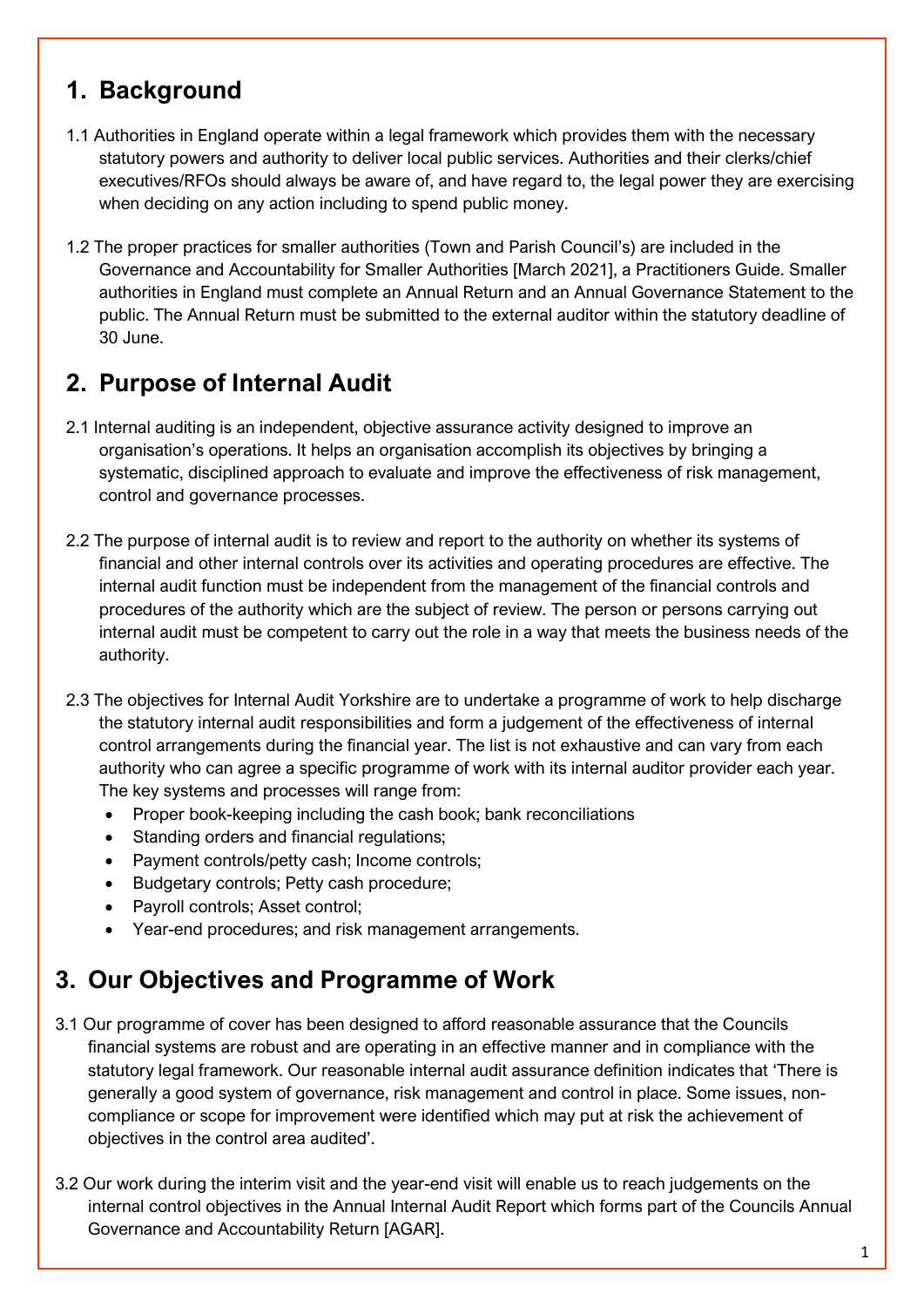# **1. Background**

- 1.1 Authorities in England operate within a legal framework which provides them with the necessary statutory powers and authority to deliver local public services. Authorities and their clerks/chief executives/RFOs should always be aware of, and have regard to, the legal power they are exercising when deciding on any action including to spend public money.
- 1.2 The proper practices for smaller authorities (Town and Parish Council's) are included in the Governance and Accountability for Smaller Authorities [March 2021], a Practitioners Guide. Smaller authorities in England must complete an Annual Return and an Annual Governance Statement to the public. The Annual Return must be submitted to the external auditor within the statutory deadline of 30 June.

# **2. Purpose of Internal Audit**

- 2.1 Internal auditing is an independent, objective assurance activity designed to improve an organisation's operations. It helps an organisation accomplish its objectives by bringing a systematic, disciplined approach to evaluate and improve the effectiveness of risk management, control and governance processes.
- 2.2 The purpose of internal audit is to review and report to the authority on whether its systems of financial and other internal controls over its activities and operating procedures are effective. The internal audit function must be independent from the management of the financial controls and procedures of the authority which are the subject of review. The person or persons carrying out internal audit must be competent to carry out the role in a way that meets the business needs of the authority.
- 2.3 The objectives for Internal Audit Yorkshire are to undertake a programme of work to help discharge the statutory internal audit responsibilities and form a judgement of the effectiveness of internal control arrangements during the financial year. The list is not exhaustive and can vary from each authority who can agree a specific programme of work with its internal auditor provider each year. The key systems and processes will range from:
	- Proper book-keeping including the cash book; bank reconciliations
	- Standing orders and financial regulations;
	- Payment controls/petty cash; Income controls;
	- Budgetary controls; Petty cash procedure;
	- Payroll controls; Asset control;
	- Year-end procedures; and risk management arrangements.

# **3. Our Objectives and Programme of Work**

- 3.1 Our programme of cover has been designed to afford reasonable assurance that the Councils financial systems are robust and are operating in an effective manner and in compliance with the statutory legal framework. Our reasonable internal audit assurance definition indicates that 'There is generally a good system of governance, risk management and control in place. Some issues, noncompliance or scope for improvement were identified which may put at risk the achievement of objectives in the control area audited'.
- 3.2 Our work during the interim visit and the year-end visit will enable us to reach judgements on the internal control objectives in the Annual Internal Audit Report which forms part of the Councils Annual Governance and Accountability Return [AGAR].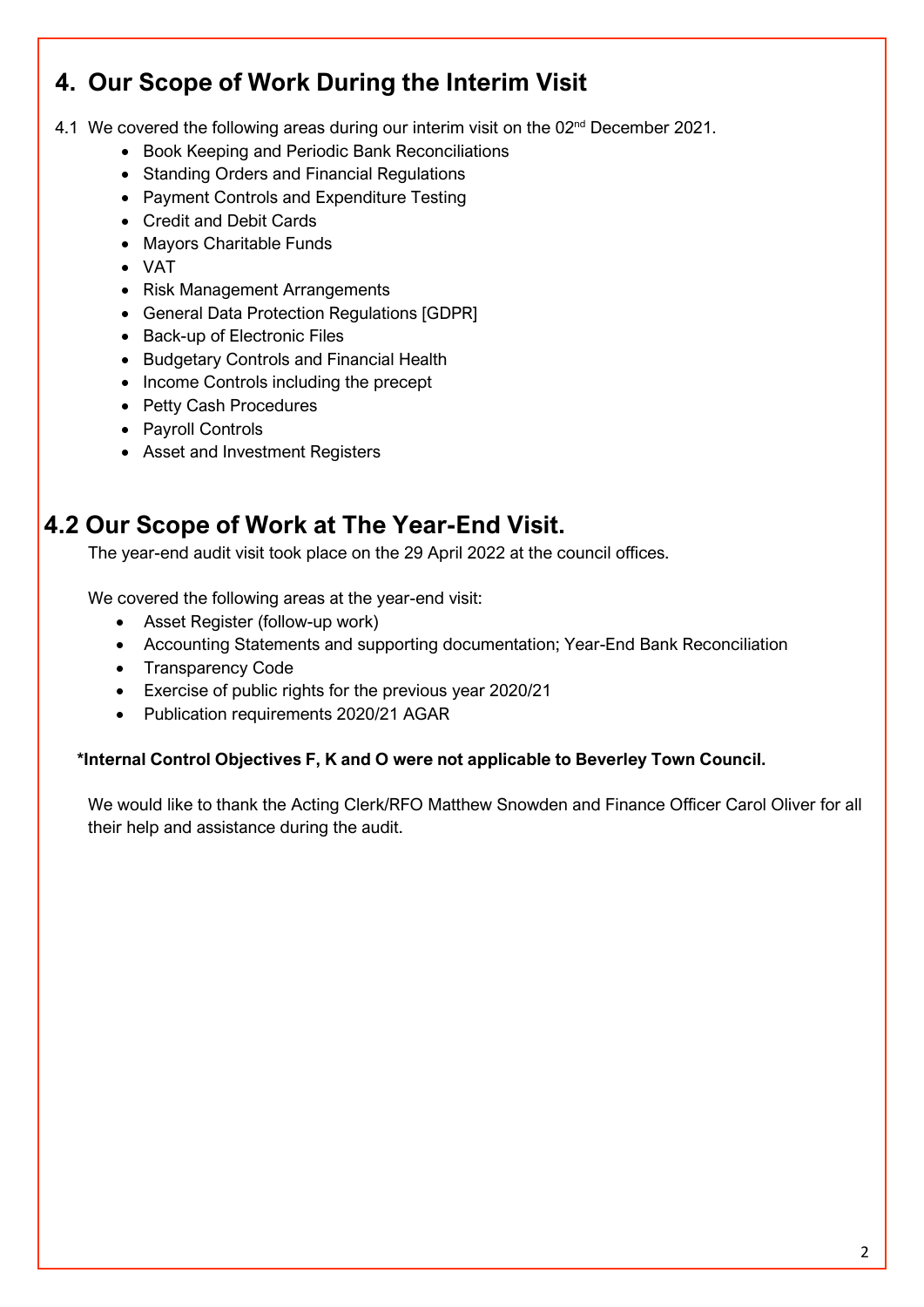# **4. Our Scope of Work During the Interim Visit**

4.1 We covered the following areas during our interim visit on the 02<sup>nd</sup> December 2021.

- Book Keeping and Periodic Bank Reconciliations
- Standing Orders and Financial Regulations
- Payment Controls and Expenditure Testing
- Credit and Debit Cards
- Mayors Charitable Funds
- VAT
- Risk Management Arrangements
- General Data Protection Regulations [GDPR]
- Back-up of Electronic Files
- Budgetary Controls and Financial Health
- Income Controls including the precept
- Petty Cash Procedures
- Payroll Controls
- Asset and Investment Registers

# **4.2 Our Scope of Work at The Year-End Visit.**

The year-end audit visit took place on the 29 April 2022 at the council offices.

We covered the following areas at the year-end visit:

- Asset Register (follow-up work)
- Accounting Statements and supporting documentation; Year-End Bank Reconciliation
- Transparency Code
- Exercise of public rights for the previous year 2020/21
- Publication requirements 2020/21 AGAR

#### **\*Internal Control Objectives F, K and O were not applicable to Beverley Town Council.**

We would like to thank the Acting Clerk/RFO Matthew Snowden and Finance Officer Carol Oliver for all their help and assistance during the audit.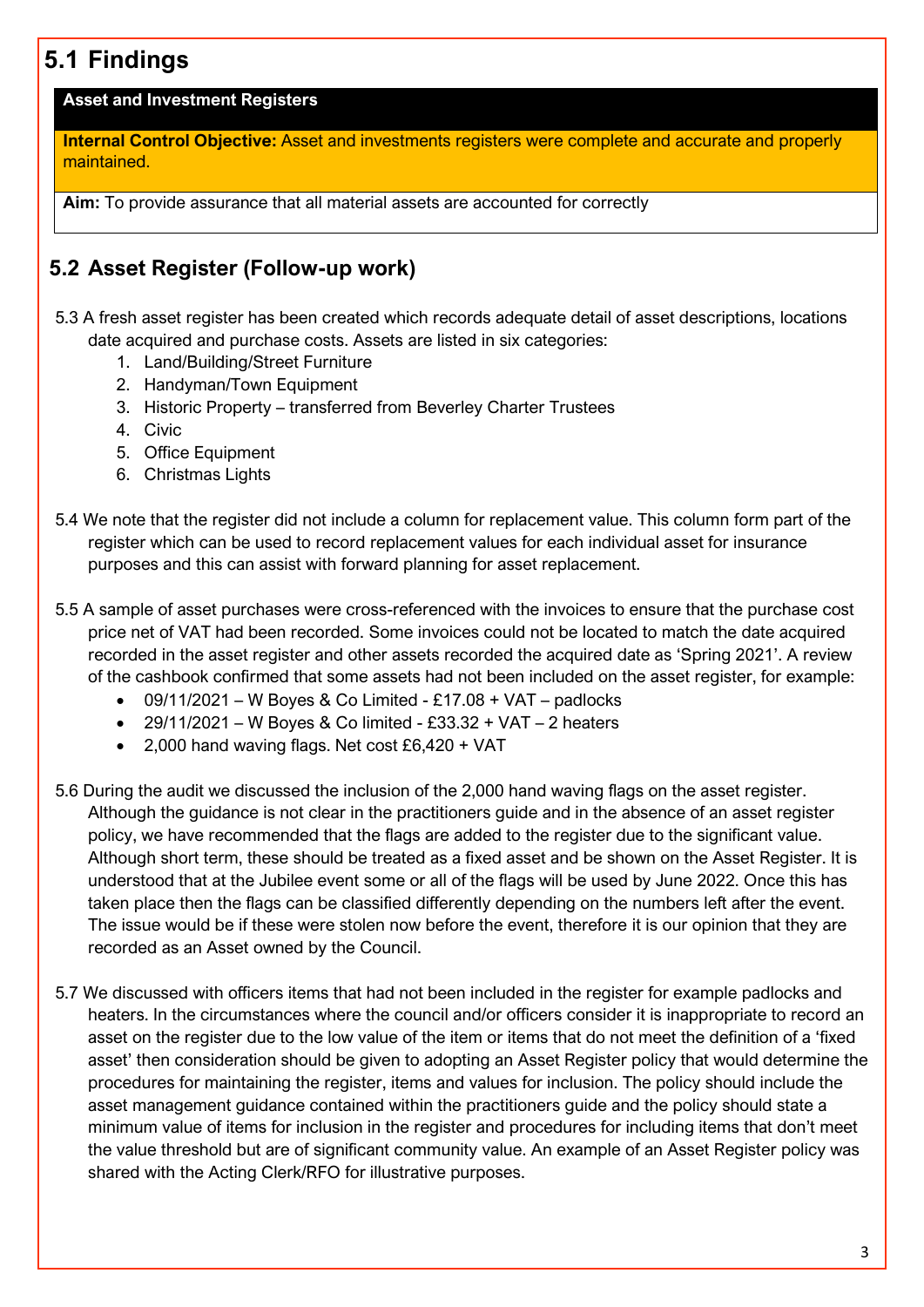# **5.1 Findings**

#### **Asset and Investment Registers**

**Internal Control Objective:** Asset and investments registers were complete and accurate and properly maintained.

**Aim:** To provide assurance that all material assets are accounted for correctly

# **5.2 Asset Register (Follow-up work)**

- 5.3 A fresh asset register has been created which records adequate detail of asset descriptions, locations date acquired and purchase costs. Assets are listed in six categories:
	- 1. Land/Building/Street Furniture
	- 2. Handyman/Town Equipment
	- 3. Historic Property transferred from Beverley Charter Trustees
	- 4. Civic
	- 5. Office Equipment
	- 6. Christmas Lights
- 5.4 We note that the register did not include a column for replacement value. This column form part of the register which can be used to record replacement values for each individual asset for insurance purposes and this can assist with forward planning for asset replacement.
- 5.5 A sample of asset purchases were cross-referenced with the invoices to ensure that the purchase cost price net of VAT had been recorded. Some invoices could not be located to match the date acquired recorded in the asset register and other assets recorded the acquired date as 'Spring 2021'. A review of the cashbook confirmed that some assets had not been included on the asset register, for example:
	- $\bullet$  09/11/2021 W Boyes & Co Limited £17.08 + VAT padlocks
	- $29/11/2021 W$  Boyes & Co limited £33.32 + VAT 2 heaters
	- 2,000 hand waving flags. Net cost £6,420 + VAT
- 5.6 During the audit we discussed the inclusion of the 2,000 hand waving flags on the asset register. Although the guidance is not clear in the practitioners guide and in the absence of an asset register policy, we have recommended that the flags are added to the register due to the significant value. Although short term, these should be treated as a fixed asset and be shown on the Asset Register. It is understood that at the Jubilee event some or all of the flags will be used by June 2022. Once this has taken place then the flags can be classified differently depending on the numbers left after the event. The issue would be if these were stolen now before the event, therefore it is our opinion that they are recorded as an Asset owned by the Council.
- 5.7 We discussed with officers items that had not been included in the register for example padlocks and heaters. In the circumstances where the council and/or officers consider it is inappropriate to record an asset on the register due to the low value of the item or items that do not meet the definition of a 'fixed asset' then consideration should be given to adopting an Asset Register policy that would determine the procedures for maintaining the register, items and values for inclusion. The policy should include the asset management guidance contained within the practitioners guide and the policy should state a minimum value of items for inclusion in the register and procedures for including items that don't meet the value threshold but are of significant community value. An example of an Asset Register policy was shared with the Acting Clerk/RFO for illustrative purposes.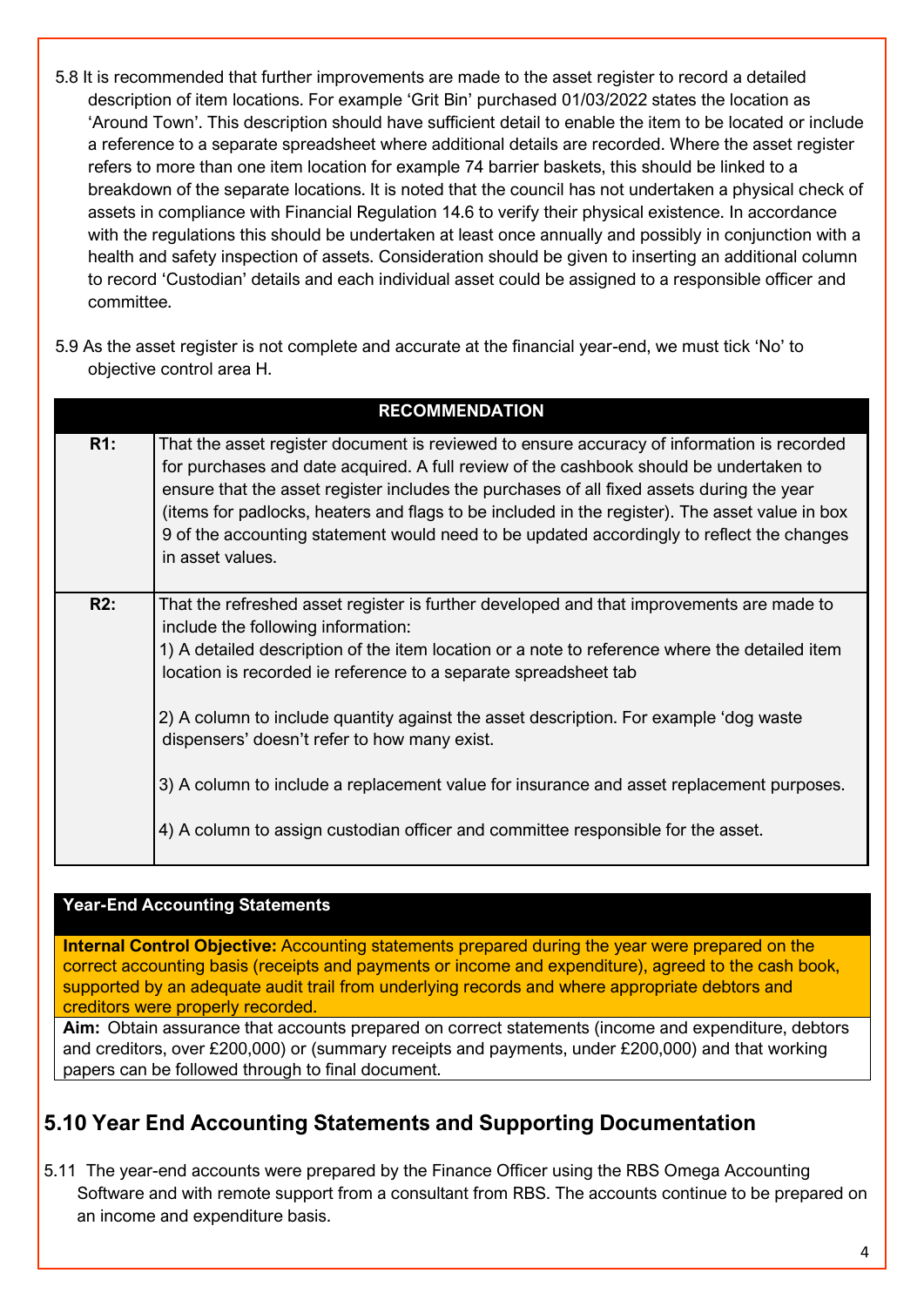- 5.8 It is recommended that further improvements are made to the asset register to record a detailed description of item locations. For example 'Grit Bin' purchased 01/03/2022 states the location as 'Around Town'. This description should have sufficient detail to enable the item to be located or include a reference to a separate spreadsheet where additional details are recorded. Where the asset register refers to more than one item location for example 74 barrier baskets, this should be linked to a breakdown of the separate locations. It is noted that the council has not undertaken a physical check of assets in compliance with Financial Regulation 14.6 to verify their physical existence. In accordance with the regulations this should be undertaken at least once annually and possibly in conjunction with a health and safety inspection of assets. Consideration should be given to inserting an additional column to record 'Custodian' details and each individual asset could be assigned to a responsible officer and committee.
- 5.9 As the asset register is not complete and accurate at the financial year-end, we must tick 'No' to objective control area H.

|     | <b>RECOMMENDATION</b>                                                                                                                                                                                                                                                                                                                                                                                                                                                                                |  |  |  |  |
|-----|------------------------------------------------------------------------------------------------------------------------------------------------------------------------------------------------------------------------------------------------------------------------------------------------------------------------------------------------------------------------------------------------------------------------------------------------------------------------------------------------------|--|--|--|--|
| R1: | That the asset register document is reviewed to ensure accuracy of information is recorded<br>for purchases and date acquired. A full review of the cashbook should be undertaken to<br>ensure that the asset register includes the purchases of all fixed assets during the year<br>(items for padlocks, heaters and flags to be included in the register). The asset value in box<br>9 of the accounting statement would need to be updated accordingly to reflect the changes<br>in asset values. |  |  |  |  |
| R2: | That the refreshed asset register is further developed and that improvements are made to<br>include the following information:<br>1) A detailed description of the item location or a note to reference where the detailed item<br>location is recorded ie reference to a separate spreadsheet tab<br>2) A column to include quantity against the asset description. For example 'dog waste                                                                                                          |  |  |  |  |
|     | dispensers' doesn't refer to how many exist.<br>3) A column to include a replacement value for insurance and asset replacement purposes.                                                                                                                                                                                                                                                                                                                                                             |  |  |  |  |
|     | 4) A column to assign custodian officer and committee responsible for the asset.                                                                                                                                                                                                                                                                                                                                                                                                                     |  |  |  |  |

### **Year-End Accounting Statements**

**Internal Control Objective:** Accounting statements prepared during the year were prepared on the correct accounting basis (receipts and payments or income and expenditure), agreed to the cash book, supported by an adequate audit trail from underlying records and where appropriate debtors and creditors were properly recorded.

**Aim:** Obtain assurance that accounts prepared on correct statements (income and expenditure, debtors and creditors, over £200,000) or (summary receipts and payments, under £200,000) and that working papers can be followed through to final document.

### **5.10 Year End Accounting Statements and Supporting Documentation**

5.11 The year-end accounts were prepared by the Finance Officer using the RBS Omega Accounting Software and with remote support from a consultant from RBS. The accounts continue to be prepared on an income and expenditure basis.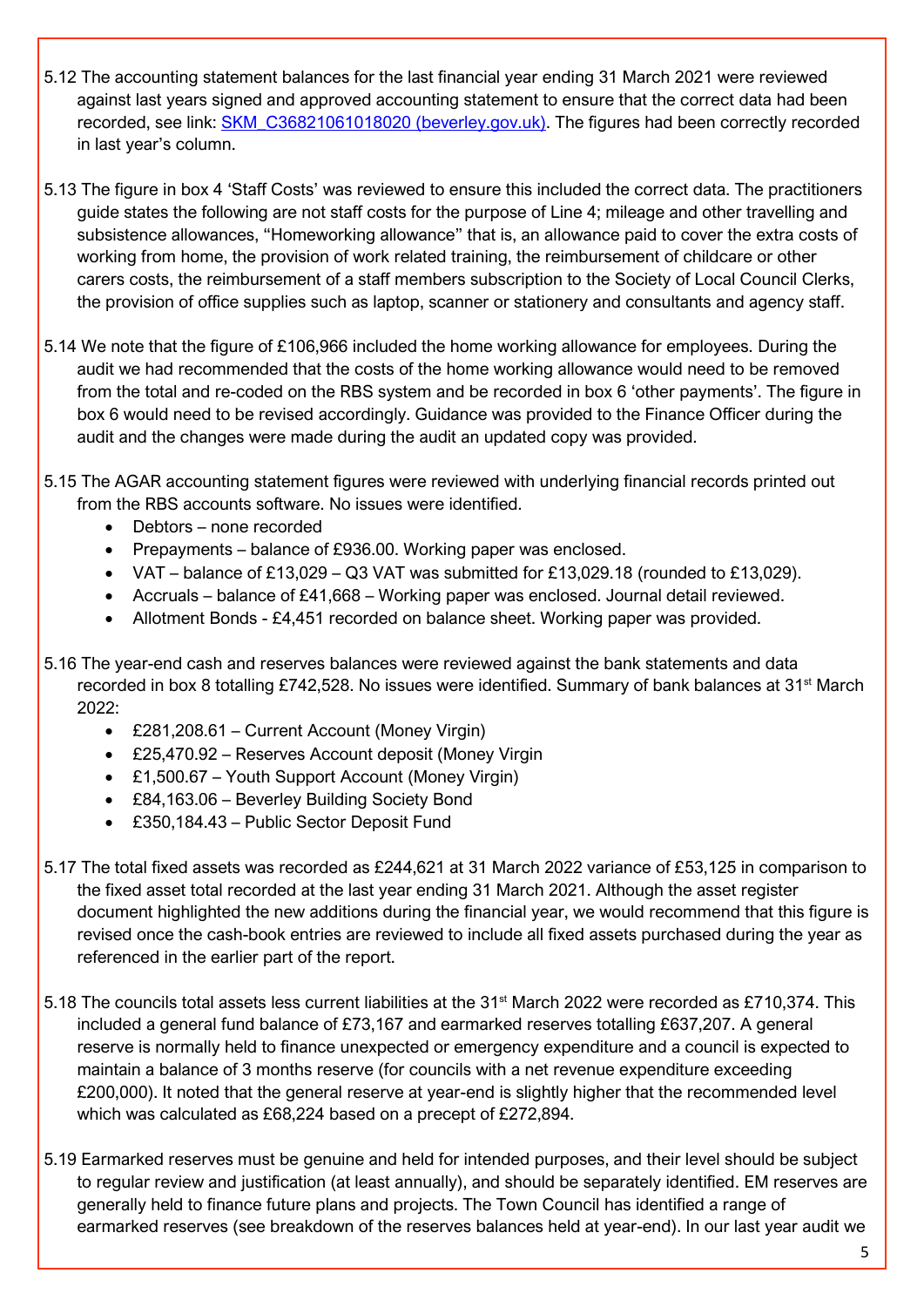- 5.12 The accounting statement balances for the last financial year ending 31 March 2021 were reviewed against last years signed and approved accounting statement to ensure that the correct data had been recorded, see link: [SKM\\_C36821061018020 \(beverley.gov.uk\).](https://www.beverley.gov.uk/wp-content/uploads/sites/75/2021/06/AGAR-2020-21.pdf) The figures had been correctly recorded in last year's column.
- 5.13 The figure in box 4 'Staff Costs' was reviewed to ensure this included the correct data. The practitioners guide states the following are not staff costs for the purpose of Line 4; mileage and other travelling and subsistence allowances, "Homeworking allowance" that is, an allowance paid to cover the extra costs of working from home, the provision of work related training, the reimbursement of childcare or other carers costs, the reimbursement of a staff members subscription to the Society of Local Council Clerks, the provision of office supplies such as laptop, scanner or stationery and consultants and agency staff.
- 5.14 We note that the figure of £106,966 included the home working allowance for employees. During the audit we had recommended that the costs of the home working allowance would need to be removed from the total and re-coded on the RBS system and be recorded in box 6 'other payments'. The figure in box 6 would need to be revised accordingly. Guidance was provided to the Finance Officer during the audit and the changes were made during the audit an updated copy was provided.
- 5.15 The AGAR accounting statement figures were reviewed with underlying financial records printed out from the RBS accounts software. No issues were identified.
	- Debtors none recorded
	- Prepayments balance of £936.00. Working paper was enclosed.
	- VAT balance of £13,029 Q3 VAT was submitted for £13,029.18 (rounded to £13,029).
	- Accruals balance of £41,668 Working paper was enclosed. Journal detail reviewed.
	- Allotment Bonds £4,451 recorded on balance sheet. Working paper was provided.
- 5.16 The year-end cash and reserves balances were reviewed against the bank statements and data recorded in box 8 totalling £742,528. No issues were identified. Summary of bank balances at 31<sup>st</sup> March 2022:
	- £281,208.61 Current Account (Money Virgin)
	- £25,470.92 Reserves Account deposit (Money Virgin
	- £1,500.67 Youth Support Account (Money Virgin)
	- £84,163.06 Beverley Building Society Bond
	- £350,184.43 Public Sector Deposit Fund
- 5.17 The total fixed assets was recorded as £244,621 at 31 March 2022 variance of £53,125 in comparison to the fixed asset total recorded at the last year ending 31 March 2021. Although the asset register document highlighted the new additions during the financial year, we would recommend that this figure is revised once the cash-book entries are reviewed to include all fixed assets purchased during the year as referenced in the earlier part of the report.
- 5.18 The councils total assets less current liabilities at the 31st March 2022 were recorded as £710,374. This included a general fund balance of £73,167 and earmarked reserves totalling £637,207. A general reserve is normally held to finance unexpected or emergency expenditure and a council is expected to maintain a balance of 3 months reserve (for councils with a net revenue expenditure exceeding £200,000). It noted that the general reserve at year-end is slightly higher that the recommended level which was calculated as £68,224 based on a precept of £272,894.
- 5.19 Earmarked reserves must be genuine and held for intended purposes, and their level should be subject to regular review and justification (at least annually), and should be separately identified. EM reserves are generally held to finance future plans and projects. The Town Council has identified a range of earmarked reserves (see breakdown of the reserves balances held at year-end). In our last year audit we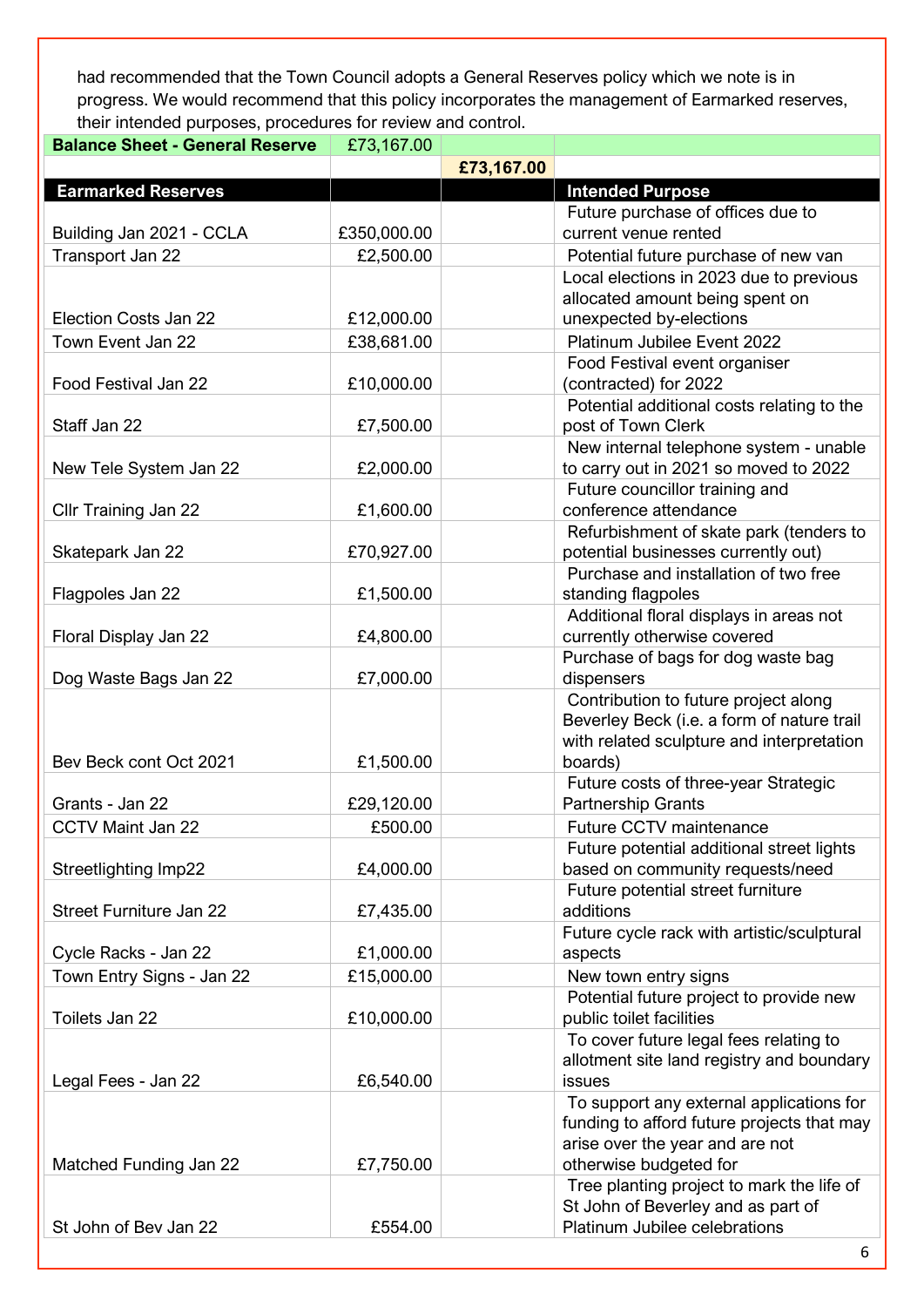had recommended that the Town Council adopts a General Reserves policy which we note is in progress. We would recommend that this policy incorporates the management of Earmarked reserves, their intended purposes, procedures for review and control.

| <b>Balance Sheet - General Reserve</b> | £73,167.00  |            |                                            |  |
|----------------------------------------|-------------|------------|--------------------------------------------|--|
|                                        |             | £73,167.00 |                                            |  |
| <b>Earmarked Reserves</b>              |             |            | <b>Intended Purpose</b>                    |  |
|                                        |             |            | Future purchase of offices due to          |  |
| Building Jan 2021 - CCLA               | £350,000.00 |            | current venue rented                       |  |
| Transport Jan 22                       | £2,500.00   |            | Potential future purchase of new van       |  |
|                                        |             |            | Local elections in 2023 due to previous    |  |
|                                        |             |            | allocated amount being spent on            |  |
| Election Costs Jan 22                  | £12,000.00  |            | unexpected by-elections                    |  |
| Town Event Jan 22                      | £38,681.00  |            | Platinum Jubilee Event 2022                |  |
|                                        |             |            | Food Festival event organiser              |  |
| Food Festival Jan 22                   | £10,000.00  |            | (contracted) for 2022                      |  |
|                                        |             |            | Potential additional costs relating to the |  |
| Staff Jan 22                           | £7,500.00   |            | post of Town Clerk                         |  |
|                                        |             |            | New internal telephone system - unable     |  |
| New Tele System Jan 22                 | £2,000.00   |            | to carry out in 2021 so moved to 2022      |  |
|                                        |             |            | Future councillor training and             |  |
| Cllr Training Jan 22                   | £1,600.00   |            | conference attendance                      |  |
|                                        |             |            | Refurbishment of skate park (tenders to    |  |
| Skatepark Jan 22                       | £70,927.00  |            | potential businesses currently out)        |  |
|                                        |             |            | Purchase and installation of two free      |  |
| Flagpoles Jan 22                       | £1,500.00   |            | standing flagpoles                         |  |
|                                        |             |            | Additional floral displays in areas not    |  |
| Floral Display Jan 22                  | £4,800.00   |            | currently otherwise covered                |  |
|                                        |             |            | Purchase of bags for dog waste bag         |  |
| Dog Waste Bags Jan 22                  | £7,000.00   |            | dispensers                                 |  |
|                                        |             |            | Contribution to future project along       |  |
|                                        |             |            | Beverley Beck (i.e. a form of nature trail |  |
|                                        |             |            | with related sculpture and interpretation  |  |
| Bev Beck cont Oct 2021                 | £1,500.00   |            | boards)                                    |  |
|                                        |             |            | Future costs of three-year Strategic       |  |
| Grants - Jan 22                        | £29,120.00  |            | <b>Partnership Grants</b>                  |  |
| <b>CCTV Maint Jan 22</b>               | £500.00     |            | Future CCTV maintenance                    |  |
|                                        |             |            | Future potential additional street lights  |  |
| Streetlighting Imp22                   | £4,000.00   |            | based on community requests/need           |  |
|                                        |             |            | Future potential street furniture          |  |
| <b>Street Furniture Jan 22</b>         | £7,435.00   |            | additions                                  |  |
|                                        |             |            | Future cycle rack with artistic/sculptural |  |
| Cycle Racks - Jan 22                   | £1,000.00   |            | aspects                                    |  |
| Town Entry Signs - Jan 22              | £15,000.00  |            | New town entry signs                       |  |
|                                        |             |            | Potential future project to provide new    |  |
| Toilets Jan 22                         | £10,000.00  |            | public toilet facilities                   |  |
|                                        |             |            | To cover future legal fees relating to     |  |
|                                        |             |            | allotment site land registry and boundary  |  |
| Legal Fees - Jan 22                    | £6,540.00   |            | issues                                     |  |
|                                        |             |            | To support any external applications for   |  |
|                                        |             |            | funding to afford future projects that may |  |
|                                        |             |            | arise over the year and are not            |  |
| Matched Funding Jan 22                 | £7,750.00   |            | otherwise budgeted for                     |  |
|                                        |             |            | Tree planting project to mark the life of  |  |
|                                        |             |            | St John of Beverley and as part of         |  |
| St John of Bev Jan 22                  | £554.00     |            | Platinum Jubilee celebrations              |  |
|                                        |             |            | 6                                          |  |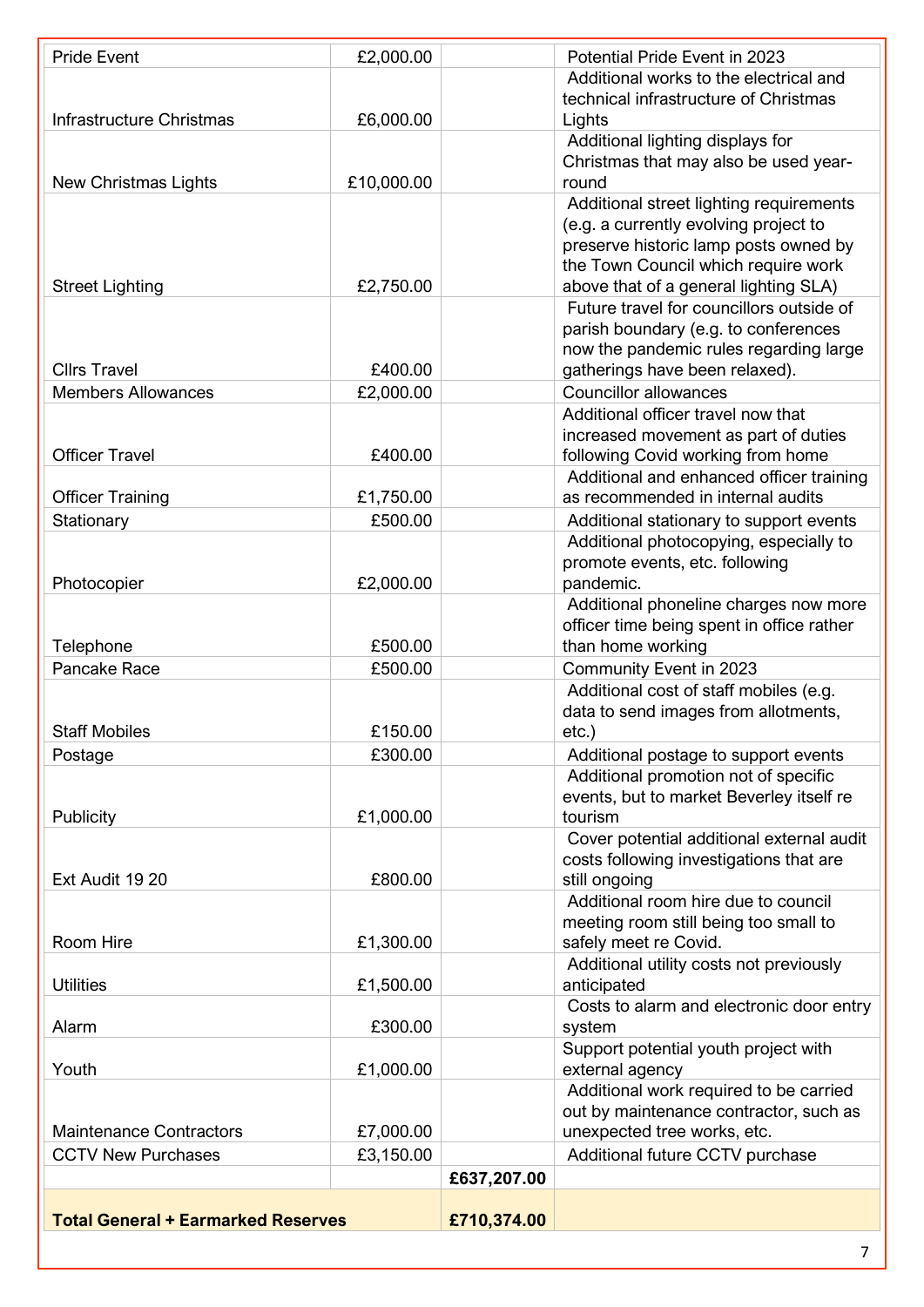| <b>Pride Event</b>                        | £2,000.00  |             | Potential Pride Event in 2023                                                      |
|-------------------------------------------|------------|-------------|------------------------------------------------------------------------------------|
|                                           |            |             | Additional works to the electrical and                                             |
|                                           |            |             | technical infrastructure of Christmas                                              |
| <b>Infrastructure Christmas</b>           | £6,000.00  |             | Lights                                                                             |
|                                           |            |             | Additional lighting displays for                                                   |
|                                           |            |             | Christmas that may also be used year-                                              |
| <b>New Christmas Lights</b>               | £10,000.00 |             | round                                                                              |
|                                           |            |             | Additional street lighting requirements                                            |
|                                           |            |             | (e.g. a currently evolving project to                                              |
|                                           |            |             | preserve historic lamp posts owned by<br>the Town Council which require work       |
| <b>Street Lighting</b>                    | £2,750.00  |             | above that of a general lighting SLA)                                              |
|                                           |            |             | Future travel for councillors outside of                                           |
|                                           |            |             | parish boundary (e.g. to conferences                                               |
|                                           |            |             | now the pandemic rules regarding large                                             |
| <b>Cllrs Travel</b>                       | £400.00    |             | gatherings have been relaxed).                                                     |
| <b>Members Allowances</b>                 | £2,000.00  |             | <b>Councillor allowances</b>                                                       |
|                                           |            |             | Additional officer travel now that                                                 |
|                                           |            |             | increased movement as part of duties                                               |
| <b>Officer Travel</b>                     | £400.00    |             | following Covid working from home                                                  |
|                                           |            |             | Additional and enhanced officer training                                           |
| <b>Officer Training</b>                   | £1,750.00  |             | as recommended in internal audits                                                  |
| Stationary                                | £500.00    |             | Additional stationary to support events                                            |
|                                           |            |             | Additional photocopying, especially to                                             |
|                                           |            |             | promote events, etc. following                                                     |
| Photocopier                               | £2,000.00  |             | pandemic.                                                                          |
|                                           |            |             | Additional phoneline charges now more<br>officer time being spent in office rather |
| Telephone                                 | £500.00    |             | than home working                                                                  |
| Pancake Race                              | £500.00    |             | Community Event in 2023                                                            |
|                                           |            |             | Additional cost of staff mobiles (e.g.                                             |
|                                           |            |             | data to send images from allotments,                                               |
| <b>Staff Mobiles</b>                      | £150.00    |             | $etc.$ )                                                                           |
| Postage                                   | £300.00    |             | Additional postage to support events                                               |
|                                           |            |             | Additional promotion not of specific                                               |
|                                           |            |             | events, but to market Beverley itself re                                           |
| Publicity                                 | £1,000.00  |             | tourism                                                                            |
|                                           |            |             | Cover potential additional external audit                                          |
|                                           |            |             | costs following investigations that are                                            |
| Ext Audit 19 20                           | £800.00    |             | still ongoing                                                                      |
|                                           |            |             | Additional room hire due to council                                                |
| Room Hire                                 | £1,300.00  |             | meeting room still being too small to<br>safely meet re Covid.                     |
|                                           |            |             | Additional utility costs not previously                                            |
| <b>Utilities</b>                          | £1,500.00  |             | anticipated                                                                        |
|                                           |            |             | Costs to alarm and electronic door entry                                           |
| Alarm                                     | £300.00    |             | system                                                                             |
|                                           |            |             | Support potential youth project with                                               |
| Youth                                     | £1,000.00  |             | external agency                                                                    |
|                                           |            |             | Additional work required to be carried                                             |
|                                           |            |             | out by maintenance contractor, such as                                             |
| <b>Maintenance Contractors</b>            | £7,000.00  |             | unexpected tree works, etc.                                                        |
| <b>CCTV New Purchases</b>                 | £3,150.00  |             | Additional future CCTV purchase                                                    |
|                                           |            | £637,207.00 |                                                                                    |
| <b>Total General + Earmarked Reserves</b> |            | £710,374.00 |                                                                                    |
|                                           |            |             |                                                                                    |
|                                           |            |             | $7^{\circ}$                                                                        |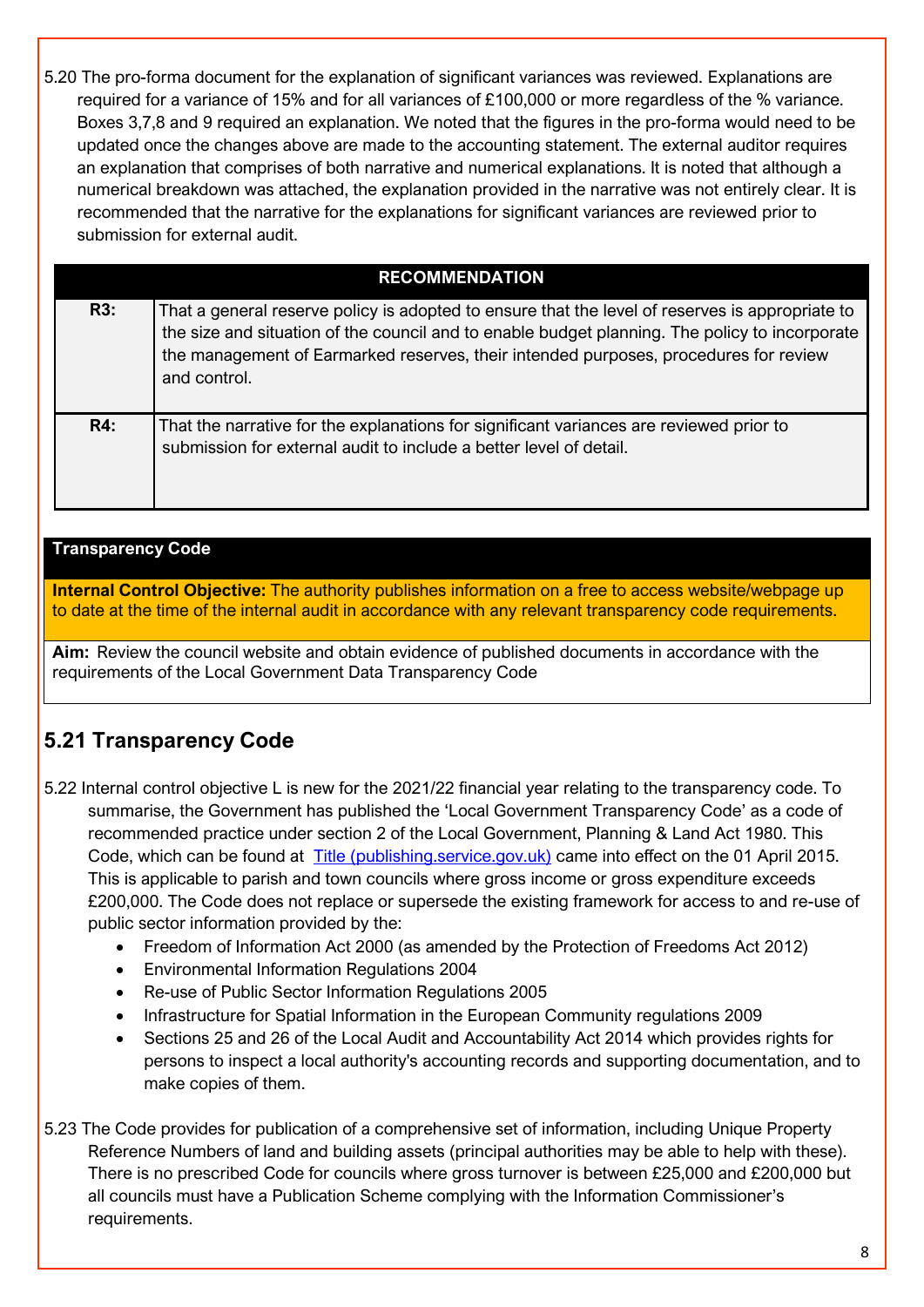5.20 The pro-forma document for the explanation of significant variances was reviewed. Explanations are required for a variance of 15% and for all variances of £100,000 or more regardless of the % variance. Boxes 3,7,8 and 9 required an explanation. We noted that the figures in the pro-forma would need to be updated once the changes above are made to the accounting statement. The external auditor requires an explanation that comprises of both narrative and numerical explanations. It is noted that although a numerical breakdown was attached, the explanation provided in the narrative was not entirely clear. It is recommended that the narrative for the explanations for significant variances are reviewed prior to submission for external audit.

### **RECOMMENDATION**

| R3: | That a general reserve policy is adopted to ensure that the level of reserves is appropriate to<br>the size and situation of the council and to enable budget planning. The policy to incorporate<br>the management of Earmarked reserves, their intended purposes, procedures for review<br>and control. |
|-----|-----------------------------------------------------------------------------------------------------------------------------------------------------------------------------------------------------------------------------------------------------------------------------------------------------------|
| R4: | That the narrative for the explanations for significant variances are reviewed prior to<br>submission for external audit to include a better level of detail.                                                                                                                                             |

#### **Transparency Code**

**Internal Control Objective:** The authority publishes information on a free to access website/webpage up to date at the time of the internal audit in accordance with any relevant transparency code requirements.

**Aim:** Review the council website and obtain evidence of published documents in accordance with the requirements of the Local Government Data Transparency Code

### **5.21 Transparency Code**

5.22 Internal control objective L is new for the 2021/22 financial year relating to the transparency code. To summarise, the Government has published the 'Local Government Transparency Code' as a code of recommended practice under section 2 of the Local Government, Planning & Land Act 1980. This Code, which can be found at [Title \(publishing.service.gov.uk\)](https://assets.publishing.service.gov.uk/government/uploads/system/uploads/attachment_data/file/408386/150227_PUBLICATION_Final_LGTC_2015.pdf) came into effect on the 01 April 2015. This is applicable to parish and town councils where gross income or gross expenditure exceeds £200,000. The Code does not replace or supersede the existing framework for access to and re-use of public sector information provided by the:

- Freedom of Information Act 2000 (as amended by the Protection of Freedoms Act 2012)
- Environmental Information Regulations 2004
- Re-use of Public Sector Information Regulations 2005
- Infrastructure for Spatial Information in the European Community regulations 2009
- Sections 25 and 26 of the Local Audit and Accountability Act 2014 which provides rights for persons to inspect a local authority's accounting records and supporting documentation, and to make copies of them.
- 5.23 The Code provides for publication of a comprehensive set of information, including Unique Property Reference Numbers of land and building assets (principal authorities may be able to help with these). There is no prescribed Code for councils where gross turnover is between £25,000 and £200,000 but all councils must have a Publication Scheme complying with the Information Commissioner's requirements.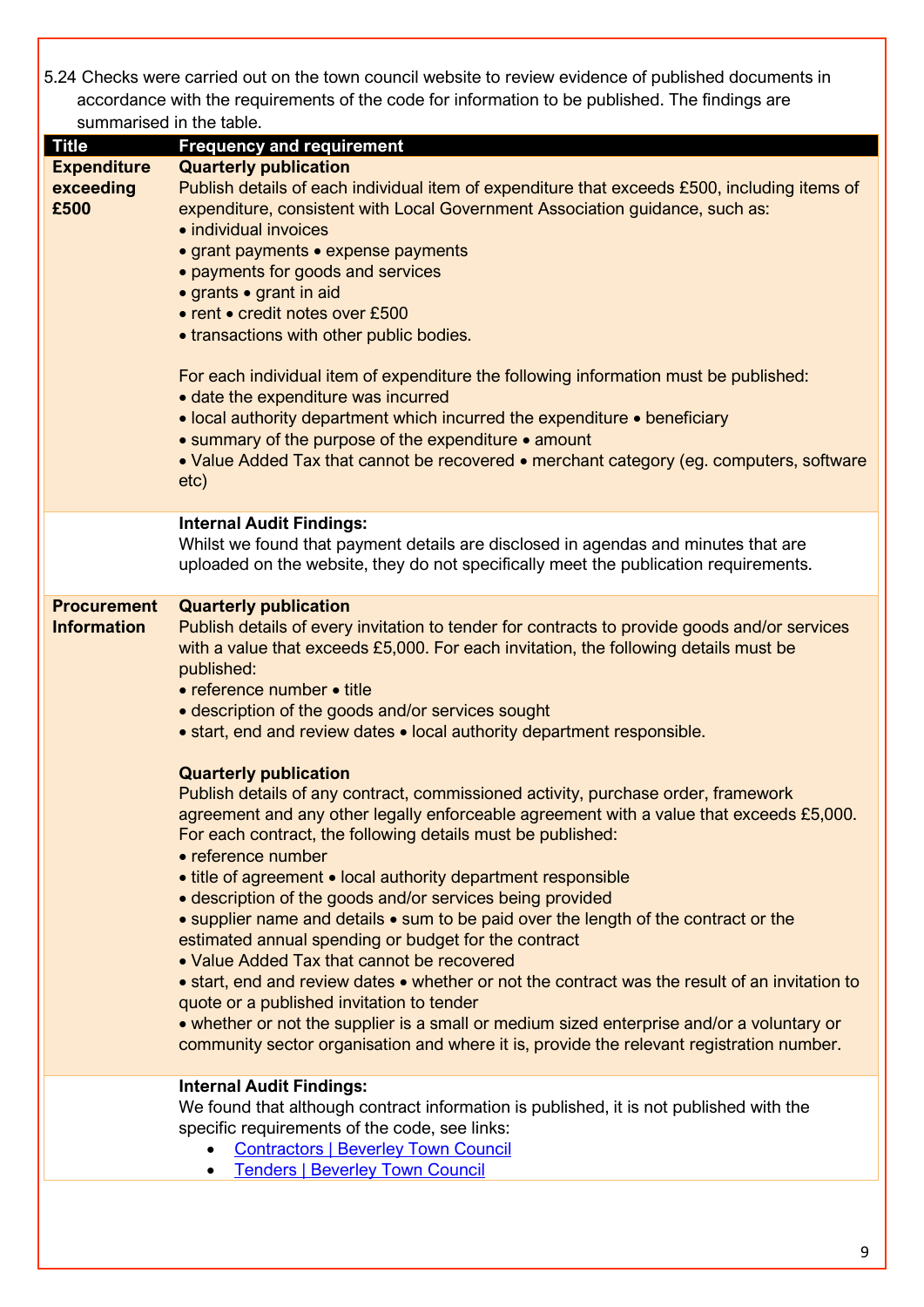5.24 Checks were carried out on the town council website to review evidence of published documents in accordance with the requirements of the code for information to be published. The findings are summarised in the table.

| summarised in the table. |                                                                                                |
|--------------------------|------------------------------------------------------------------------------------------------|
| <b>Title</b>             | <b>Frequency and requirement</b>                                                               |
| <b>Expenditure</b>       | <b>Quarterly publication</b>                                                                   |
| exceeding                | Publish details of each individual item of expenditure that exceeds £500, including items of   |
| £500                     | expenditure, consistent with Local Government Association guidance, such as:                   |
|                          | • individual invoices                                                                          |
|                          | • grant payments • expense payments                                                            |
|                          | • payments for goods and services                                                              |
|                          | • grants • grant in aid                                                                        |
|                          | • rent • credit notes over £500                                                                |
|                          |                                                                                                |
|                          | • transactions with other public bodies.                                                       |
|                          |                                                                                                |
|                          | For each individual item of expenditure the following information must be published:           |
|                          | • date the expenditure was incurred                                                            |
|                          | • local authority department which incurred the expenditure • beneficiary                      |
|                          | • summary of the purpose of the expenditure • amount                                           |
|                          | • Value Added Tax that cannot be recovered • merchant category (eg. computers, software        |
|                          | etc)                                                                                           |
|                          |                                                                                                |
|                          | <b>Internal Audit Findings:</b>                                                                |
|                          | Whilst we found that payment details are disclosed in agendas and minutes that are             |
|                          | uploaded on the website, they do not specifically meet the publication requirements.           |
|                          |                                                                                                |
| <b>Procurement</b>       | <b>Quarterly publication</b>                                                                   |
| <b>Information</b>       |                                                                                                |
|                          | Publish details of every invitation to tender for contracts to provide goods and/or services   |
|                          | with a value that exceeds £5,000. For each invitation, the following details must be           |
|                          | published:                                                                                     |
|                          | • reference number • title                                                                     |
|                          | • description of the goods and/or services sought                                              |
|                          | • start, end and review dates • local authority department responsible.                        |
|                          |                                                                                                |
|                          | <b>Quarterly publication</b>                                                                   |
|                          | Publish details of any contract, commissioned activity, purchase order, framework              |
|                          | agreement and any other legally enforceable agreement with a value that exceeds £5,000.        |
|                          | For each contract, the following details must be published:                                    |
|                          | • reference number                                                                             |
|                          | • title of agreement • local authority department responsible                                  |
|                          |                                                                                                |
|                          | • description of the goods and/or services being provided                                      |
|                          | • supplier name and details • sum to be paid over the length of the contract or the            |
|                          | estimated annual spending or budget for the contract                                           |
|                          | • Value Added Tax that cannot be recovered                                                     |
|                          | • start, end and review dates • whether or not the contract was the result of an invitation to |
|                          | quote or a published invitation to tender                                                      |
|                          | • whether or not the supplier is a small or medium sized enterprise and/or a voluntary or      |
|                          | community sector organisation and where it is, provide the relevant registration number.       |
|                          |                                                                                                |
|                          | <b>Internal Audit Findings:</b>                                                                |
|                          | We found that although contract information is published, it is not published with the         |
|                          | specific requirements of the code, see links:                                                  |
|                          |                                                                                                |
|                          | <b>Contractors   Beverley Town Council</b>                                                     |
|                          |                                                                                                |
|                          | <b>Tenders   Beverley Town Council</b>                                                         |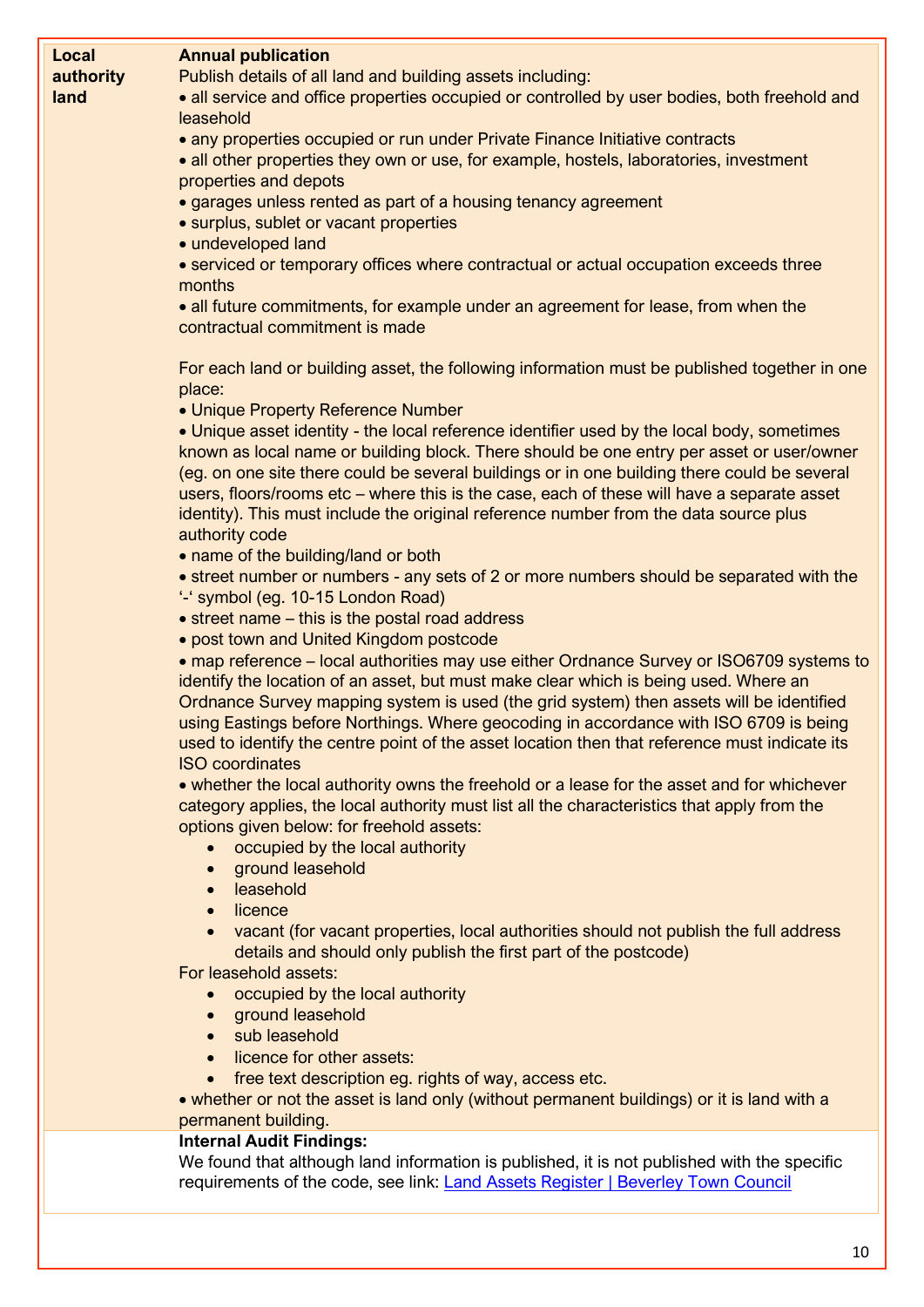| Local<br>authority | <b>Annual publication</b><br>Publish details of all land and building assets including:                                                                                                                                                                                                                                                                                             |
|--------------------|-------------------------------------------------------------------------------------------------------------------------------------------------------------------------------------------------------------------------------------------------------------------------------------------------------------------------------------------------------------------------------------|
| land               | • all service and office properties occupied or controlled by user bodies, both freehold and<br>leasehold                                                                                                                                                                                                                                                                           |
|                    | • any properties occupied or run under Private Finance Initiative contracts<br>• all other properties they own or use, for example, hostels, laboratories, investment<br>properties and depots                                                                                                                                                                                      |
|                    | • garages unless rented as part of a housing tenancy agreement<br>• surplus, sublet or vacant properties<br>• undeveloped land                                                                                                                                                                                                                                                      |
|                    | • serviced or temporary offices where contractual or actual occupation exceeds three<br>months                                                                                                                                                                                                                                                                                      |
|                    | • all future commitments, for example under an agreement for lease, from when the<br>contractual commitment is made                                                                                                                                                                                                                                                                 |
|                    | For each land or building asset, the following information must be published together in one<br>place:                                                                                                                                                                                                                                                                              |
|                    | • Unique Property Reference Number                                                                                                                                                                                                                                                                                                                                                  |
|                    | • Unique asset identity - the local reference identifier used by the local body, sometimes<br>known as local name or building block. There should be one entry per asset or user/owner<br>(eg. on one site there could be several buildings or in one building there could be several<br>users, floors/rooms etc – where this is the case, each of these will have a separate asset |
|                    | identity). This must include the original reference number from the data source plus<br>authority code                                                                                                                                                                                                                                                                              |
|                    | • name of the building/land or both                                                                                                                                                                                                                                                                                                                                                 |
|                    | • street number or numbers - any sets of 2 or more numbers should be separated with the<br>'-' symbol (eg. 10-15 London Road)                                                                                                                                                                                                                                                       |
|                    | • street name – this is the postal road address                                                                                                                                                                                                                                                                                                                                     |
|                    | • post town and United Kingdom postcode<br>• map reference – local authorities may use either Ordnance Survey or ISO6709 systems to                                                                                                                                                                                                                                                 |
|                    | identify the location of an asset, but must make clear which is being used. Where an<br>Ordnance Survey mapping system is used (the grid system) then assets will be identified<br>using Eastings before Northings. Where geocoding in accordance with ISO 6709 is being<br>used to identify the centre point of the asset location then that reference must indicate its           |
|                    | <b>ISO</b> coordinates                                                                                                                                                                                                                                                                                                                                                              |
|                    | • whether the local authority owns the freehold or a lease for the asset and for whichever<br>category applies, the local authority must list all the characteristics that apply from the<br>options given below: for freehold assets:                                                                                                                                              |
|                    | occupied by the local authority<br>$\bullet$                                                                                                                                                                                                                                                                                                                                        |
|                    | ground leasehold<br>$\bullet$<br>leasehold<br>$\bullet$                                                                                                                                                                                                                                                                                                                             |
|                    | licence<br>$\bullet$                                                                                                                                                                                                                                                                                                                                                                |
|                    | vacant (for vacant properties, local authorities should not publish the full address<br>details and should only publish the first part of the postcode)                                                                                                                                                                                                                             |
|                    | For leasehold assets:<br>occupied by the local authority                                                                                                                                                                                                                                                                                                                            |
|                    | ground leasehold<br>$\bullet$                                                                                                                                                                                                                                                                                                                                                       |
|                    | sub leasehold<br>$\bullet$                                                                                                                                                                                                                                                                                                                                                          |
|                    | licence for other assets:                                                                                                                                                                                                                                                                                                                                                           |
|                    | free text description eg. rights of way, access etc.<br>$\bullet$<br>• whether or not the asset is land only (without permanent buildings) or it is land with a                                                                                                                                                                                                                     |
|                    | permanent building.                                                                                                                                                                                                                                                                                                                                                                 |
|                    | <b>Internal Audit Findings:</b>                                                                                                                                                                                                                                                                                                                                                     |
|                    | We found that although land information is published, it is not published with the specific<br>requirements of the code, see link: Land Assets Register   Beverley Town Council                                                                                                                                                                                                     |
|                    |                                                                                                                                                                                                                                                                                                                                                                                     |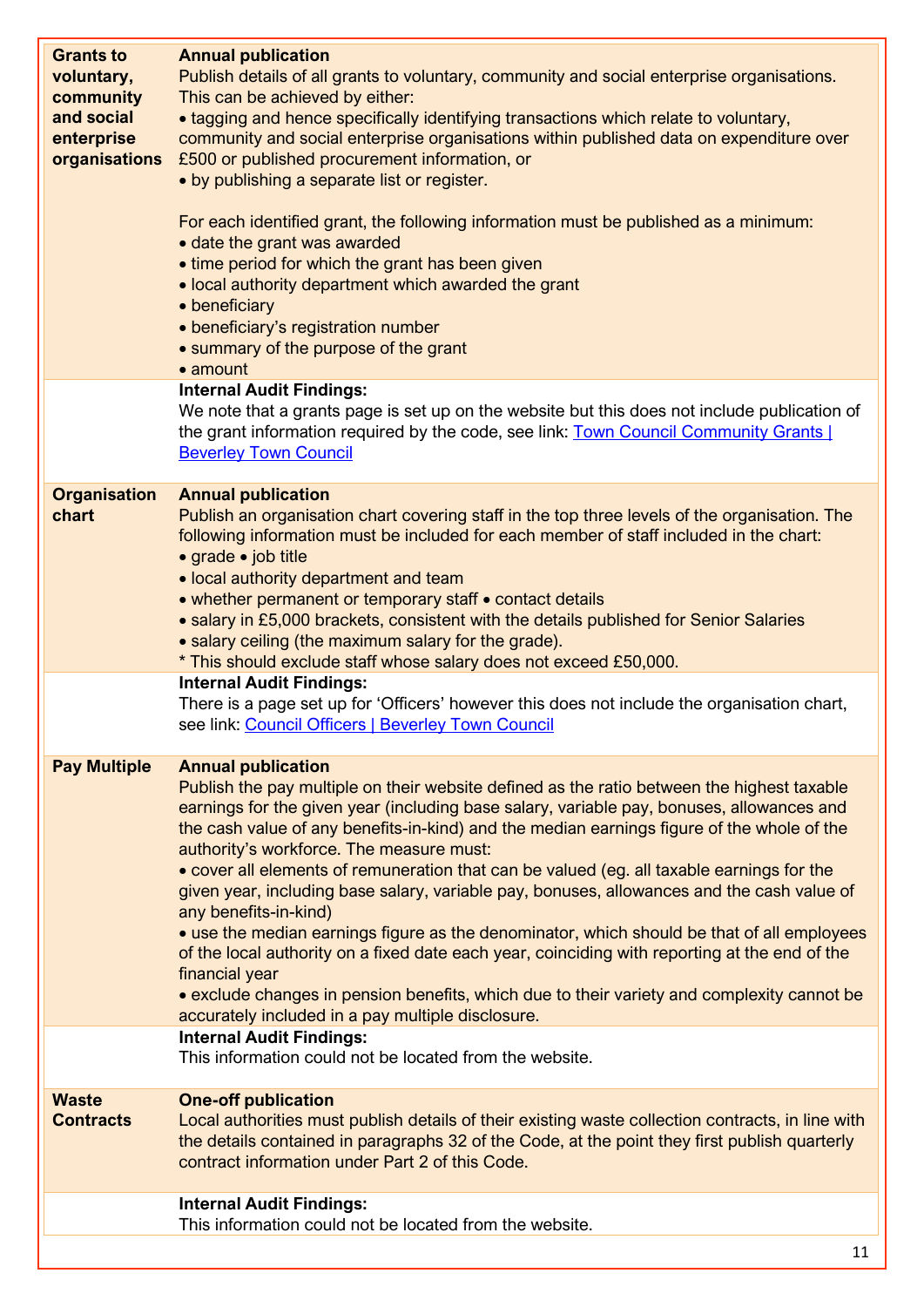| <b>Grants to</b><br>voluntary,<br>community<br>and social<br>enterprise<br>organisations | <b>Annual publication</b><br>Publish details of all grants to voluntary, community and social enterprise organisations.<br>This can be achieved by either:<br>• tagging and hence specifically identifying transactions which relate to voluntary,<br>community and social enterprise organisations within published data on expenditure over<br>£500 or published procurement information, or<br>• by publishing a separate list or register.<br>For each identified grant, the following information must be published as a minimum:<br>• date the grant was awarded<br>• time period for which the grant has been given<br>• local authority department which awarded the grant<br>• beneficiary<br>· beneficiary's registration number<br>• summary of the purpose of the grant<br>• amount                                                                                                                                                                                           |
|------------------------------------------------------------------------------------------|-------------------------------------------------------------------------------------------------------------------------------------------------------------------------------------------------------------------------------------------------------------------------------------------------------------------------------------------------------------------------------------------------------------------------------------------------------------------------------------------------------------------------------------------------------------------------------------------------------------------------------------------------------------------------------------------------------------------------------------------------------------------------------------------------------------------------------------------------------------------------------------------------------------------------------------------------------------------------------------------|
|                                                                                          | <b>Internal Audit Findings:</b><br>We note that a grants page is set up on the website but this does not include publication of<br>the grant information required by the code, see link: Town Council Community Grants  <br><b>Beverley Town Council</b>                                                                                                                                                                                                                                                                                                                                                                                                                                                                                                                                                                                                                                                                                                                                  |
| <b>Organisation</b><br>chart                                                             | <b>Annual publication</b><br>Publish an organisation chart covering staff in the top three levels of the organisation. The<br>following information must be included for each member of staff included in the chart:<br>• grade • job title<br>• local authority department and team<br>• whether permanent or temporary staff • contact details<br>• salary in £5,000 brackets, consistent with the details published for Senior Salaries<br>• salary ceiling (the maximum salary for the grade).<br>* This should exclude staff whose salary does not exceed £50,000.<br><b>Internal Audit Findings:</b>                                                                                                                                                                                                                                                                                                                                                                                |
|                                                                                          | There is a page set up for 'Officers' however this does not include the organisation chart,<br>see link: Council Officers   Beverley Town Council                                                                                                                                                                                                                                                                                                                                                                                                                                                                                                                                                                                                                                                                                                                                                                                                                                         |
| <b>Pay Multiple</b>                                                                      | <b>Annual publication</b><br>Publish the pay multiple on their website defined as the ratio between the highest taxable<br>earnings for the given year (including base salary, variable pay, bonuses, allowances and<br>the cash value of any benefits-in-kind) and the median earnings figure of the whole of the<br>authority's workforce. The measure must:<br>• cover all elements of remuneration that can be valued (eg. all taxable earnings for the<br>given year, including base salary, variable pay, bonuses, allowances and the cash value of<br>any benefits-in-kind)<br>• use the median earnings figure as the denominator, which should be that of all employees<br>of the local authority on a fixed date each year, coinciding with reporting at the end of the<br>financial year<br>• exclude changes in pension benefits, which due to their variety and complexity cannot be<br>accurately included in a pay multiple disclosure.<br><b>Internal Audit Findings:</b> |
|                                                                                          | This information could not be located from the website.                                                                                                                                                                                                                                                                                                                                                                                                                                                                                                                                                                                                                                                                                                                                                                                                                                                                                                                                   |
| <b>Waste</b><br><b>Contracts</b>                                                         | <b>One-off publication</b><br>Local authorities must publish details of their existing waste collection contracts, in line with<br>the details contained in paragraphs 32 of the Code, at the point they first publish quarterly<br>contract information under Part 2 of this Code.                                                                                                                                                                                                                                                                                                                                                                                                                                                                                                                                                                                                                                                                                                       |
|                                                                                          | <b>Internal Audit Findings:</b><br>This information could not be located from the website.                                                                                                                                                                                                                                                                                                                                                                                                                                                                                                                                                                                                                                                                                                                                                                                                                                                                                                |
|                                                                                          | 11                                                                                                                                                                                                                                                                                                                                                                                                                                                                                                                                                                                                                                                                                                                                                                                                                                                                                                                                                                                        |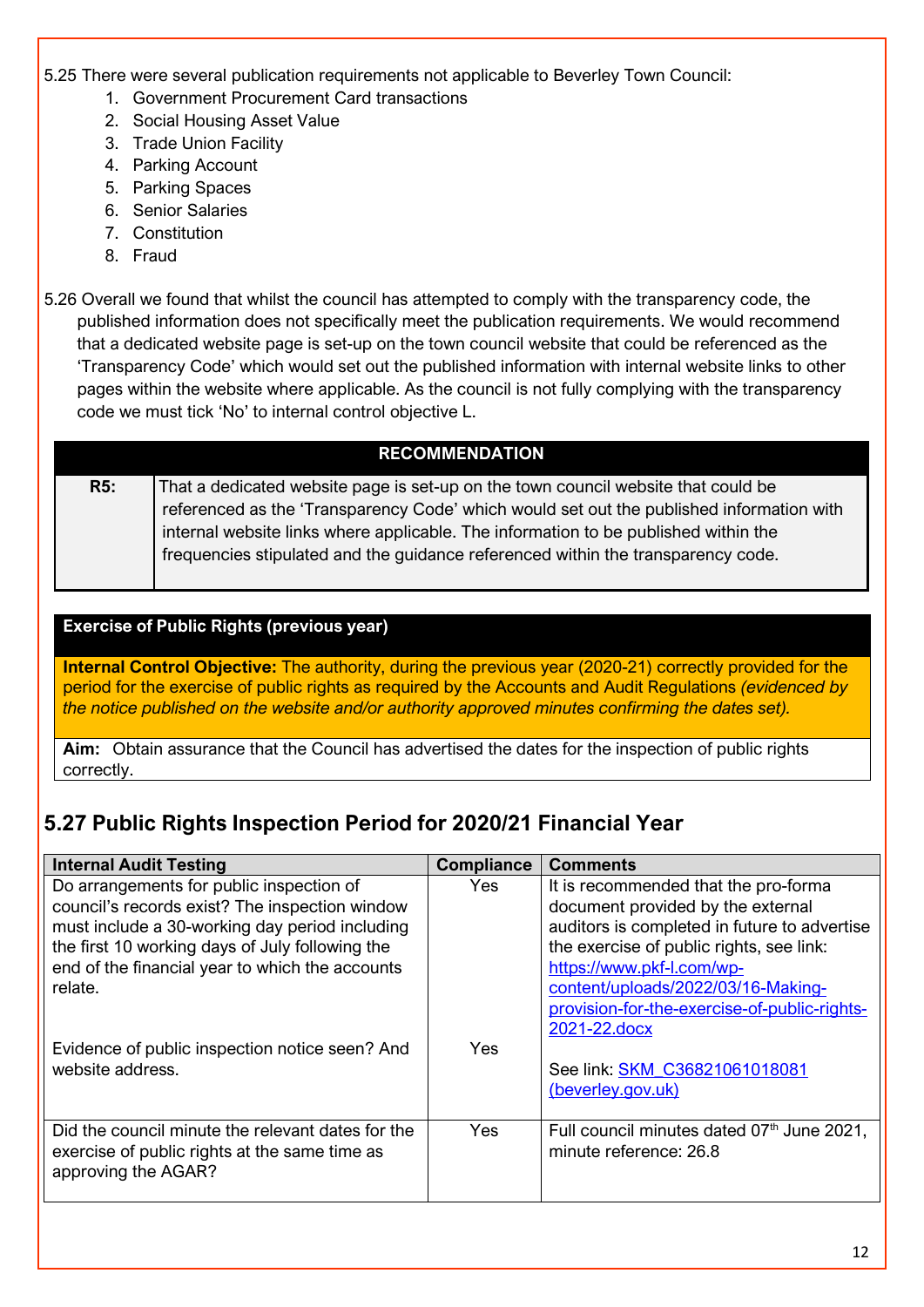#### 5.25 There were several publication requirements not applicable to Beverley Town Council:

- 1. Government Procurement Card transactions
- 2. Social Housing Asset Value
- 3. Trade Union Facility
- 4. Parking Account
- 5. Parking Spaces
- 6. Senior Salaries
- 7. Constitution
- 8. Fraud
- 5.26 Overall we found that whilst the council has attempted to comply with the transparency code, the published information does not specifically meet the publication requirements. We would recommend that a dedicated website page is set-up on the town council website that could be referenced as the 'Transparency Code' which would set out the published information with internal website links to other pages within the website where applicable. As the council is not fully complying with the transparency code we must tick 'No' to internal control objective L.

### **RECOMMENDATION**

**R5:** That a dedicated website page is set-up on the town council website that could be referenced as the 'Transparency Code' which would set out the published information with internal website links where applicable. The information to be published within the frequencies stipulated and the guidance referenced within the transparency code.

#### **Exercise of Public Rights (previous year)**

**Internal Control Objective:** The authority, during the previous year (2020-21) correctly provided for the period for the exercise of public rights as required by the Accounts and Audit Regulations *(evidenced by the notice published on the website and/or authority approved minutes confirming the dates set).*

**Aim:** Obtain assurance that the Council has advertised the dates for the inspection of public rights correctly.

# **5.27 Public Rights Inspection Period for 2020/21 Financial Year**

| <b>Internal Audit Testing</b>                     | <b>Compliance</b> | <b>Comments</b>                              |  |  |
|---------------------------------------------------|-------------------|----------------------------------------------|--|--|
| Do arrangements for public inspection of          | <b>Yes</b>        | It is recommended that the pro-forma         |  |  |
| council's records exist? The inspection window    |                   | document provided by the external            |  |  |
| must include a 30-working day period including    |                   | auditors is completed in future to advertise |  |  |
| the first 10 working days of July following the   |                   | the exercise of public rights, see link:     |  |  |
| end of the financial year to which the accounts   |                   | https://www.pkf-l.com/wp-                    |  |  |
| relate.                                           |                   | content/uploads/2022/03/16-Making-           |  |  |
|                                                   |                   | provision-for-the-exercise-of-public-rights- |  |  |
|                                                   |                   | 2021-22.docx                                 |  |  |
| Evidence of public inspection notice seen? And    | Yes               |                                              |  |  |
| website address.                                  |                   | See link: SKM C36821061018081                |  |  |
|                                                   |                   | (beverley.gov.uk)                            |  |  |
|                                                   |                   |                                              |  |  |
| Did the council minute the relevant dates for the | Yes               | Full council minutes dated 07th June 2021,   |  |  |
| exercise of public rights at the same time as     |                   | minute reference: 26.8                       |  |  |
| approving the AGAR?                               |                   |                                              |  |  |
|                                                   |                   |                                              |  |  |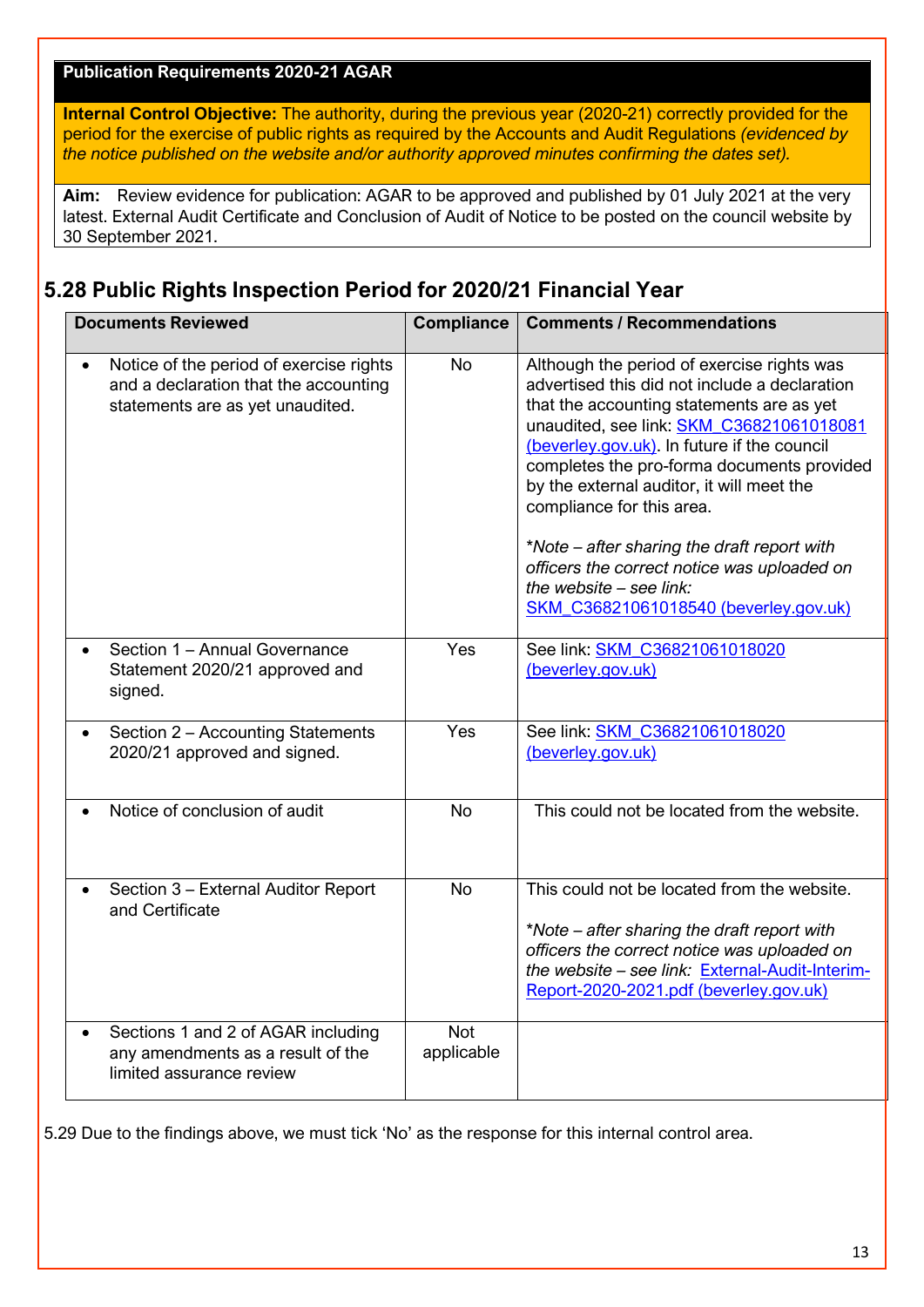#### **Publication Requirements 2020-21 AGAR**

**Internal Control Objective:** The authority, during the previous year (2020-21) correctly provided for the period for the exercise of public rights as required by the Accounts and Audit Regulations *(evidenced by the notice published on the website and/or authority approved minutes confirming the dates set).*

**Aim:** Review evidence for publication: AGAR to be approved and published by 01 July 2021 at the very latest. External Audit Certificate and Conclusion of Audit of Notice to be posted on the council website by 30 September 2021.

### **5.28 Public Rights Inspection Period for 2020/21 Financial Year**

| <b>Documents Reviewed</b>                                                                                                         | <b>Compliance</b>        | <b>Comments / Recommendations</b>                                                                                                                                                                                                                                                                                                                                                                                                                                                                                               |  |  |
|-----------------------------------------------------------------------------------------------------------------------------------|--------------------------|---------------------------------------------------------------------------------------------------------------------------------------------------------------------------------------------------------------------------------------------------------------------------------------------------------------------------------------------------------------------------------------------------------------------------------------------------------------------------------------------------------------------------------|--|--|
| Notice of the period of exercise rights<br>$\bullet$<br>and a declaration that the accounting<br>statements are as yet unaudited. | <b>No</b>                | Although the period of exercise rights was<br>advertised this did not include a declaration<br>that the accounting statements are as yet<br>unaudited, see link: SKM_C36821061018081<br>(beverley.gov.uk). In future if the council<br>completes the pro-forma documents provided<br>by the external auditor, it will meet the<br>compliance for this area.<br>*Note – after sharing the draft report with<br>officers the correct notice was uploaded on<br>the website $-$ see link:<br>SKM_C36821061018540 (beverley.gov.uk) |  |  |
| Section 1 - Annual Governance<br>$\bullet$<br>Statement 2020/21 approved and<br>signed.                                           | Yes                      | See link: SKM_C36821061018020<br>(beverley.gov.uk)                                                                                                                                                                                                                                                                                                                                                                                                                                                                              |  |  |
| Section 2 - Accounting Statements<br>$\bullet$<br>2020/21 approved and signed.                                                    | Yes                      | See link: SKM_C36821061018020<br>(beverley.gov.uk)                                                                                                                                                                                                                                                                                                                                                                                                                                                                              |  |  |
| Notice of conclusion of audit                                                                                                     | <b>No</b>                | This could not be located from the website.                                                                                                                                                                                                                                                                                                                                                                                                                                                                                     |  |  |
| Section 3 - External Auditor Report<br>and Certificate                                                                            | <b>No</b>                | This could not be located from the website.<br>*Note – after sharing the draft report with<br>officers the correct notice was uploaded on<br>the website - see link: External-Audit-Interim-<br>Report-2020-2021.pdf (beverley.gov.uk)                                                                                                                                                                                                                                                                                          |  |  |
| Sections 1 and 2 of AGAR including<br>$\bullet$<br>any amendments as a result of the<br>limited assurance review                  | <b>Not</b><br>applicable |                                                                                                                                                                                                                                                                                                                                                                                                                                                                                                                                 |  |  |

5.29 Due to the findings above, we must tick 'No' as the response for this internal control area.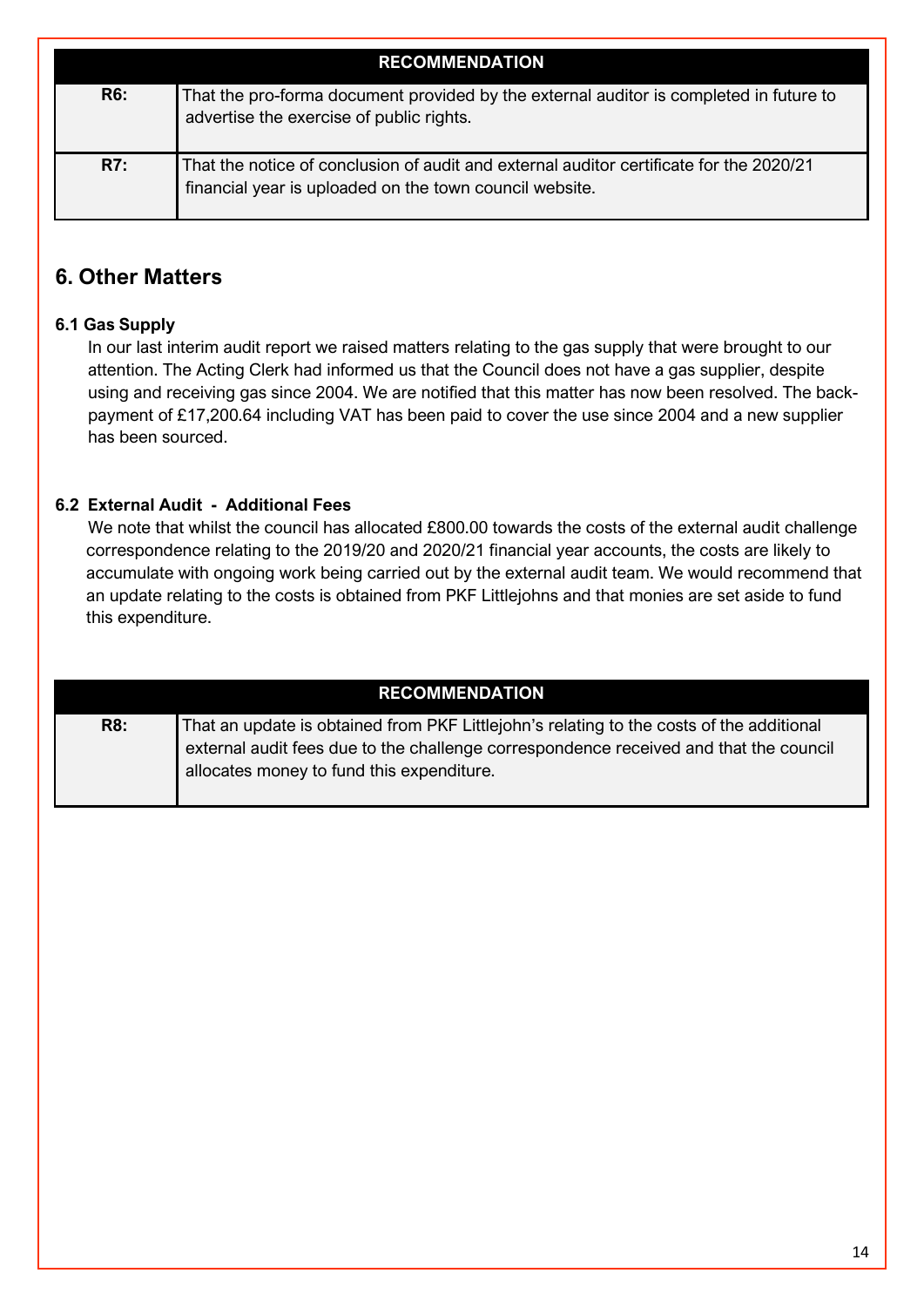| <b>RECOMMENDATION</b> |                                                                                                                                                    |  |  |
|-----------------------|----------------------------------------------------------------------------------------------------------------------------------------------------|--|--|
| <b>R6:</b>            | That the pro-forma document provided by the external auditor is completed in future to<br>advertise the exercise of public rights.                 |  |  |
| R7:                   | That the notice of conclusion of audit and external auditor certificate for the 2020/21<br>financial year is uploaded on the town council website. |  |  |

## **6. Other Matters**

### **6.1 Gas Supply**

In our last interim audit report we raised matters relating to the gas supply that were brought to our attention. The Acting Clerk had informed us that the Council does not have a gas supplier, despite using and receiving gas since 2004. We are notified that this matter has now been resolved. The backpayment of £17,200.64 including VAT has been paid to cover the use since 2004 and a new supplier has been sourced.

### **6.2 External Audit - Additional Fees**

We note that whilst the council has allocated £800.00 towards the costs of the external audit challenge correspondence relating to the 2019/20 and 2020/21 financial year accounts, the costs are likely to accumulate with ongoing work being carried out by the external audit team. We would recommend that an update relating to the costs is obtained from PKF Littlejohns and that monies are set aside to fund this expenditure.

| <b>RECOMMENDATION</b> |                                                                                                                                                                                                                                |  |  |
|-----------------------|--------------------------------------------------------------------------------------------------------------------------------------------------------------------------------------------------------------------------------|--|--|
| <b>R8:</b>            | That an update is obtained from PKF Littlejohn's relating to the costs of the additional<br>external audit fees due to the challenge correspondence received and that the council<br>allocates money to fund this expenditure. |  |  |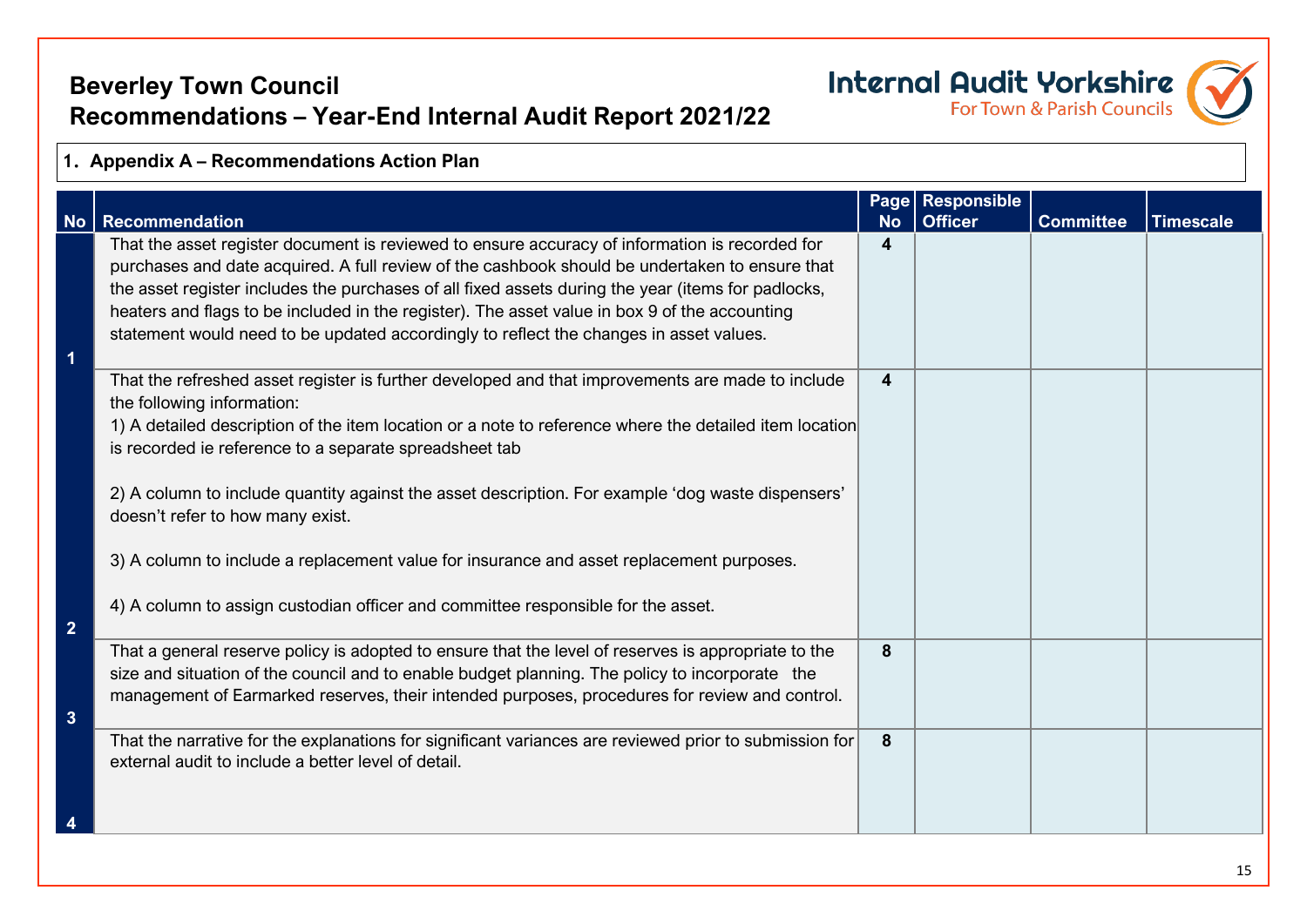# **Beverley Town Council Recommendations – Year-End Internal Audit Report 2021/22**

# **Internal Audit Yorkshire**

### **1. Appendix A – Recommendations Action Plan**

| <b>No</b>       | <b>Recommendation</b>                                                                                                                                                                            | <b>No</b>               | Page Responsible<br><b>Officer</b> | <b>Committee</b> | <b>Timescale</b> |
|-----------------|--------------------------------------------------------------------------------------------------------------------------------------------------------------------------------------------------|-------------------------|------------------------------------|------------------|------------------|
|                 | That the asset register document is reviewed to ensure accuracy of information is recorded for<br>purchases and date acquired. A full review of the cashbook should be undertaken to ensure that | 4                       |                                    |                  |                  |
|                 | the asset register includes the purchases of all fixed assets during the year (items for padlocks,                                                                                               |                         |                                    |                  |                  |
|                 | heaters and flags to be included in the register). The asset value in box 9 of the accounting<br>statement would need to be updated accordingly to reflect the changes in asset values.          |                         |                                    |                  |                  |
| 1               |                                                                                                                                                                                                  |                         |                                    |                  |                  |
|                 | That the refreshed asset register is further developed and that improvements are made to include<br>the following information:                                                                   | $\overline{\mathbf{4}}$ |                                    |                  |                  |
|                 | 1) A detailed description of the item location or a note to reference where the detailed item location<br>is recorded ie reference to a separate spreadsheet tab                                 |                         |                                    |                  |                  |
|                 | 2) A column to include quantity against the asset description. For example 'dog waste dispensers'<br>doesn't refer to how many exist.                                                            |                         |                                    |                  |                  |
|                 | 3) A column to include a replacement value for insurance and asset replacement purposes.                                                                                                         |                         |                                    |                  |                  |
| $\overline{2}$  | 4) A column to assign custodian officer and committee responsible for the asset.                                                                                                                 |                         |                                    |                  |                  |
|                 | That a general reserve policy is adopted to ensure that the level of reserves is appropriate to the                                                                                              | 8                       |                                    |                  |                  |
|                 | size and situation of the council and to enable budget planning. The policy to incorporate the<br>management of Earmarked reserves, their intended purposes, procedures for review and control.  |                         |                                    |                  |                  |
| $3\overline{3}$ |                                                                                                                                                                                                  |                         |                                    |                  |                  |
|                 | That the narrative for the explanations for significant variances are reviewed prior to submission for<br>external audit to include a better level of detail.                                    | 8                       |                                    |                  |                  |
|                 |                                                                                                                                                                                                  |                         |                                    |                  |                  |
|                 |                                                                                                                                                                                                  |                         |                                    |                  |                  |